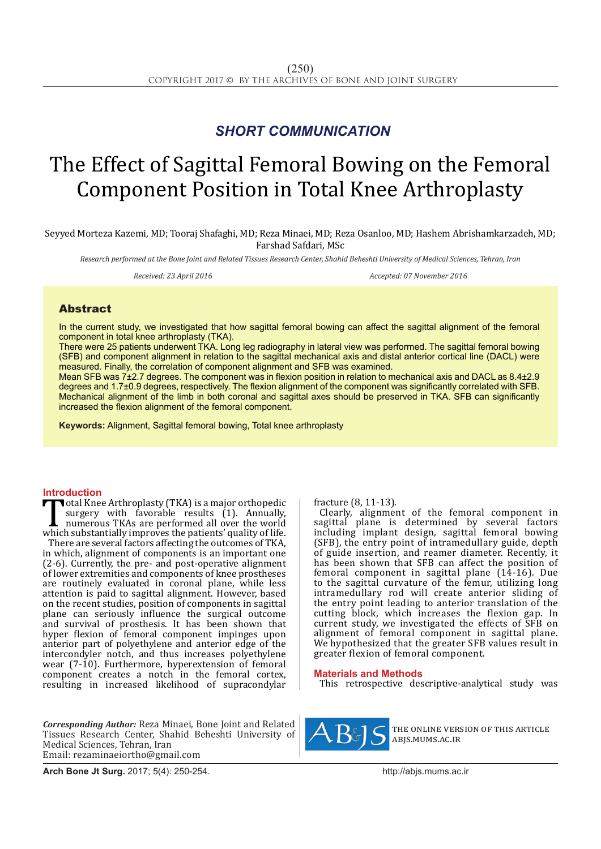## *SHORT COMMUNICATION*

# The Effect of Sagittal Femoral Bowing on the Femoral Component Position in Total Knee Arthroplasty

Seyyed Morteza Kazemi, MD; Tooraj Shafaghi, MD; Reza Minaei, MD; Reza Osanloo, MD; Hashem Abrishamkarzadeh, MD; Farshad Safdari, MSc

*Research performed at the Bone Joint and Related Tissues Research Center, Shahid Beheshti University of Medical Sciences, Tehran, Iran* 

*Received: 23 April 2016 Accepted: 07 November 2016*

### Abstract

In the current study, we investigated that how sagittal femoral bowing can affect the sagittal alignment of the femoral component in total knee arthroplasty (TKA).

There were 25 patients underwent TKA. Long leg radiography in lateral view was performed. The sagittal femoral bowing (SFB) and component alignment in relation to the sagittal mechanical axis and distal anterior cortical line (DACL) were measured. Finally, the correlation of component alignment and SFB was examined.

Mean SFB was 7±2.7 degrees. The component was in flexion position in relation to mechanical axis and DACL as 8.4±2.9 degrees and 1.7±0.9 degrees, respectively. The flexion alignment of the component was significantly correlated with SFB. Mechanical alignment of the limb in both coronal and sagittal axes should be preserved in TKA. SFB can significantly increased the flexion alignment of the femoral component.

**Keywords:** Alignment, Sagittal femoral bowing, Total knee arthroplasty

**Introduction**<br>**The I** otal Knee Arthroplasty (TKA) is a major orthopedic Total Knee Arthroplasty (TKA) is a major orthopedic<br>surgery with favorable results (1). Annually,<br>numerous TKAs are performed all over the world<br>which substantially improves the patients' quality of life.<br>There are several surgery with favorable results (1). Annually, numerous TKAs are performed all over the world There are several factors affecting the outcomes of TKA, in which, alignment of components is an important one (2-6). Currently, the pre- and post-operative alignment of lower extremities and components of knee prostheses are routinely evaluated in coronal plane, while less attention is paid to sagittal alignment. However, based on the recent studies, position of components in sagittal plane can seriously influence the surgical outcome and survival of prosthesis. It has been shown that hyper flexion of femoral component impinges upon anterior part of polyethylene and anterior edge of the intercondyler notch, and thus increases polyethylene wear (7-10). Furthermore, hyperextension of femoral component creates a notch in the femoral cortex, resulting in increased likelihood of supracondylar

*Corresponding Author:* Reza Minaei, Bone Joint and Related Tissues Research Center, Shahid Beheshti University of Medical Sciences, Tehran, Iran Email: rezaminaeiortho@gmail.com

fracture (8, 11-13).

Clearly, alignment of the femoral component in sagittal plane is determined by several factors including implant design, sagittal femoral bowing (SFB), the entry point of intramedullary guide, depth of guide insertion, and reamer diameter. Recently, it has been shown that SFB can affect the position of femoral component in sagittal plane (14-16). Due to the sagittal curvature of the femur, utilizing long intramedullary rod will create anterior sliding of the entry point leading to anterior translation of the cutting block, which increases the flexion gap. In current study, we investigated the effects of SFB on alignment of femoral component in sagittal plane. We hypothesized that the greater SFB values result in greater flexion of femoral component.

#### **Materials and Methods**

This retrospective descriptive-analytical study was



the online version of this article abjs.mums.ac.ir

**Arch Bone Jt Surg.** 2017; 5(4): 250-254.http://abjs.mums.ac.ir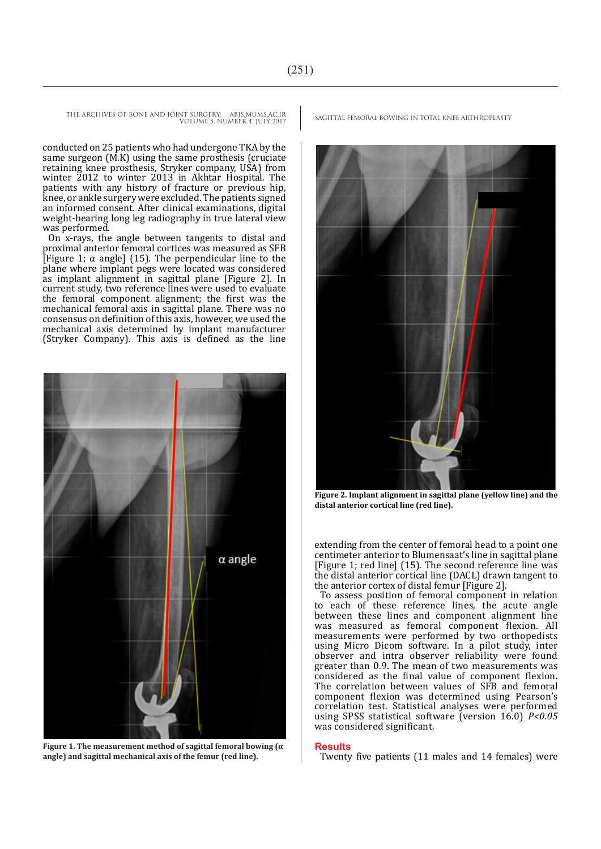THE ARCHIVES OF BONE AND JOINT SURGERY. ABJS.MUMS.AC.IR SAGITTAL FEMORAL BOWING IN TOTAL KNEE ARTHROPLASTY VOLUME 5. NUMBER 4. JULY 2017

conducted on 25 patients who had undergone TKA by the same surgeon (M.K) using the same prosthesis (cruciate retaining knee prosthesis, Stryker company, USA) from winter 2012 to winter 2013 in Akhtar Hospital. The patients with any history of fracture or previous hip, knee, or ankle surgery were excluded. The patients signed an informed consent. After clinical examinations, digital weight-bearing long leg radiography in true lateral view was performed.

On x-rays, the angle between tangents to distal and proximal anterior femoral cortices was measured as SFB [Figure 1;  $\alpha$  angle] (15). The perpendicular line to the plane where implant pegs were located was considered as implant alignment in sagittal plane [Figure 2]. In current study, two reference lines were used to evaluate the femoral component alignment; the first was the mechanical femoral axis in sagittal plane. There was no consensus on definition of this axis, however, we used the mechanical axis determined by implant manufacturer (Stryker Company). This axis is defined as the line



**Figure 1. The measurement method of sagittal femoral bowing (α angle) and sagittal mechanical axis of the femur (red line).**



**Figure 2. Implant alignment in sagittal plane (yellow line) and the distal anterior cortical line (red line).**

extending from the center of femoral head to a point one centimeter anterior to Blumensaat's line in sagittal plane [Figure 1; red line] (15). The second reference line was the distal anterior cortical line (DACL) drawn tangent to the anterior cortex of distal femur [Figure 2].

To assess position of femoral component in relation to each of these reference lines, the acute angle between these lines and component alignment line was measured as femoral component flexion. All measurements were performed by two orthopedists using Micro Dicom software. In a pilot study, inter observer and intra observer reliability were found greater than 0.9. The mean of two measurements was considered as the final value of component flexion. The correlation between values of SFB and femoral component flexion was determined using Pearson's correlation test. Statistical analyses were performed using SPSS statistical software (version 16.0) *P<0.05* was considered significant.

#### **Results**

Twenty five patients (11 males and 14 females) were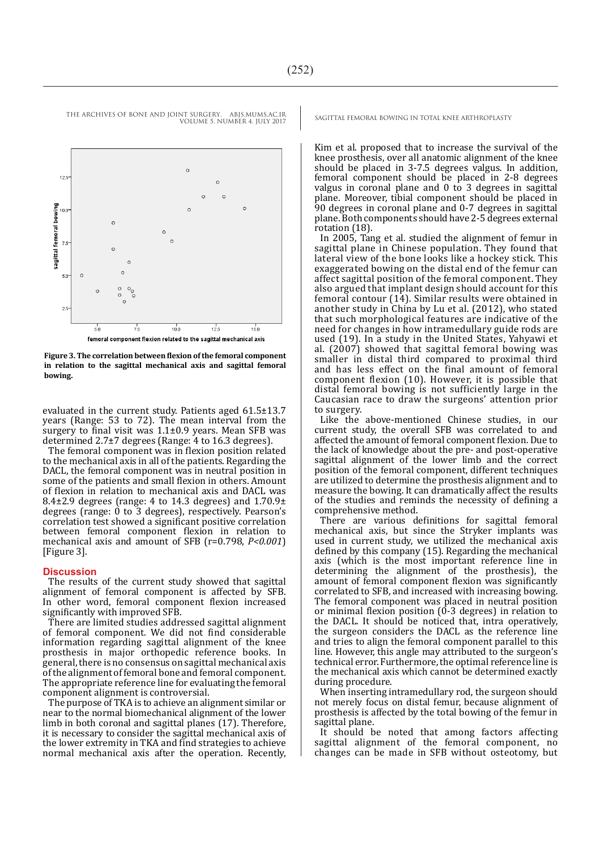VOLUME 5. NUMBER 4. JULY 2017



**Figure 3. The correlation between flexion of the femoral component in relation to the sagittal mechanical axis and sagittal femoral bowing.**

evaluated in the current study. Patients aged 61.5±13.7 years (Range: 53 to 72). The mean interval from the surgery to final visit was 1.1±0.9 years. Mean SFB was determined 2.7±7 degrees (Range: 4 to 16.3 degrees).

The femoral component was in flexion position related to the mechanical axis in all of the patients. Regarding the DACL, the femoral component was in neutral position in some of the patients and small flexion in others. Amount of flexion in relation to mechanical axis and DACL was 8.4 $\pm$ 2.9 degrees (range: 4 to 14.3 degrees) and  $1.70.9\pm$ degrees (range: 0 to 3 degrees), respectively. Pearson's correlation test showed a significant positive correlation between femoral component flexion in relation to mechanical axis and amount of SFB (r=0.798, *P<0.001*) [Figure 3].

#### **Discussion**

The results of the current study showed that sagittal alignment of femoral component is affected by SFB. In other word, femoral component flexion increased significantly with improved SFB.

There are limited studies addressed sagittal alignment of femoral component. We did not find considerable information regarding sagittal alignment of the knee prosthesis in major orthopedic reference books. In general, there is no consensus on sagittal mechanical axis of the alignment of femoral bone and femoral component. The appropriate reference line for evaluating the femoral component alignment is controversial.

The purpose of TKA is to achieve an alignment similar or near to the normal biomechanical alignment of the lower limb in both coronal and sagittal planes (17). Therefore, it is necessary to consider the sagittal mechanical axis of the lower extremity in TKA and find strategies to achieve normal mechanical axis after the operation. Recently,

THE ARCHIVES OF BONE AND JOINT SURGERY. ABJS.MUMS.AC.IR SAGITTAL FEMORAL BOWING IN TOTAL KNEE ARTHROPLASTY

Kim et al. proposed that to increase the survival of the knee prosthesis, over all anatomic alignment of the knee should be placed in 3-7.5 degrees valgus. In addition, femoral component should be placed in 2-8 degrees valgus in coronal plane and 0 to 3 degrees in sagittal plane. Moreover, tibial component should be placed in 90 degrees in coronal plane and 0-7 degrees in sagittal plane. Both components should have 2-5 degrees external rotation (18).

In 2005, Tang et al. studied the alignment of femur in sagittal plane in Chinese population. They found that lateral view of the bone looks like a hockey stick. This exaggerated bowing on the distal end of the femur can affect sagittal position of the femoral component. They also argued that implant design should account for this femoral contour (14). Similar results were obtained in another study in China by Lu et al. (2012), who stated that such morphological features are indicative of the need for changes in how intramedullary guide rods are used (19). In a study in the United States, Yahyawi et al.  $(2007)$  showed that sagittal femoral bowing was smaller in distal third compared to proximal third and has less effect on the final amount of femoral component flexion (10). However, it is possible that distal femoral bowing is not sufficiently large in the Caucasian race to draw the surgeons' attention prior to surgery.

Like the above-mentioned Chinese studies, in our current study, the overall SFB was correlated to and affected the amount of femoral component flexion. Due to the lack of knowledge about the pre- and post-operative sagittal alignment of the lower limb and the correct position of the femoral component, different techniques are utilized to determine the prosthesis alignment and to measure the bowing. It can dramatically affect the results of the studies and reminds the necessity of defining a comprehensive method.

There are various definitions for sagittal femoral mechanical axis, but since the Stryker implants was used in current study, we utilized the mechanical axis defined by this company (15). Regarding the mechanical axis (which is the most important reference line in determining the alignment of the prosthesis), the amount of femoral component flexion was significantly correlated to SFB, and increased with increasing bowing. The femoral component was placed in neutral position or minimal flexion position  $(0-3$  degrees) in relation to the DACL. It should be noticed that, intra operatively, the surgeon considers the DACL as the reference line and tries to align the femoral component parallel to this line. However, this angle may attributed to the surgeon's technical error. Furthermore, the optimal reference line is the mechanical axis which cannot be determined exactly during procedure.

When inserting intramedullary rod, the surgeon should not merely focus on distal femur, because alignment of prosthesis is affected by the total bowing of the femur in sagittal plane.

It should be noted that among factors affecting sagittal alignment of the femoral component, no changes can be made in SFB without osteotomy, but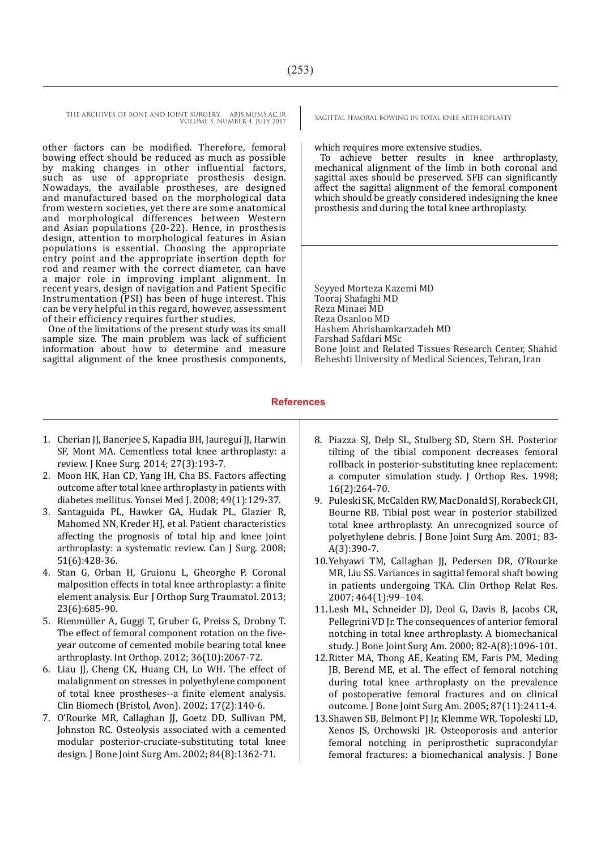THE ARCHIVES OF BONE AND JOINT SURGERY. ABJS.MUMS.AC.IR SAGITTAL FEMORAL BOWING IN TOTAL KNEE ARTHROPLASTY VOLUME 5. NUMBER 4. JULY 2017

other factors can be modified. Therefore, femoral bowing effect should be reduced as much as possible by making changes in other influential factors, such as use of appropriate prosthesis design. Nowadays, the available prostheses, are designed and manufactured based on the morphological data from western societies, yet there are some anatomical and morphological differences between Western and Asian populations (20-22). Hence, in prosthesis design, attention to morphological features in Asian populations is essential. Choosing the appropriate entry point and the appropriate insertion depth for rod and reamer with the correct diameter, can have a major role in improving implant alignment. In recent years, design of navigation and Patient Specific Instrumentation (PSI) has been of huge interest. This can be very helpful in this regard, however, assessment of their efficiency requires further studies.

One of the limitations of the present study was its small sample size. The main problem was lack of sufficient information about how to determine and measure sagittal alignment of the knee prosthesis components,

which requires more extensive studies.

To achieve better results in knee arthroplasty, mechanical alignment of the limb in both coronal and sagittal axes should be preserved. SFB can significantly affect the sagittal alignment of the femoral component which should be greatly considered indesigning the knee prosthesis and during the total knee arthroplasty.

Seyyed Morteza Kazemi MD Tooraj Shafaghi MD Reza Minaei MD Reza Osanloo MD Hashem Abrishamkarzadeh MD Farshad Safdari MSc Bone Joint and Related Tissues Research Center, Shahid Beheshti University of Medical Sciences, Tehran, Iran

#### **References**

- 1. Cherian JJ, Banerjee S, Kapadia BH, Jauregui JJ, Harwin SF, Mont MA. Cementless total knee arthroplasty: a review. J Knee Surg. 2014; 27(3):193-7.
- 2. Moon HK, Han CD, Yang IH, Cha BS. Factors affecting outcome after total knee arthroplasty in patients with diabetes mellitus. Yonsei Med J. 2008; 49(1):129-37.
- 3. Santaguida PL, Hawker GA, Hudak PL, Glazier R, Mahomed NN, Kreder HJ, et al. Patient characteristics affecting the prognosis of total hip and knee joint arthroplasty: a systematic review. Can J Surg. 2008; 51(6):428-36.
- 4. Stan G, Orban H, Gruionu L, Gheorghe P. Coronal malposition effects in total knee arthroplasty: a finite element analysis. Eur J Orthop Surg Traumatol. 2013; 23(6):685-90.
- 5. Rienmüller A, Guggi T, Gruber G, Preiss S, Drobny T. The effect of femoral component rotation on the fiveyear outcome of cemented mobile bearing total knee arthroplasty. Int Orthop. 2012; 36(10):2067-72.
- 6. Liau JJ, Cheng CK, Huang CH, Lo WH. The effect of malalignment on stresses in polyethylene component of total knee prostheses--a finite element analysis. Clin Biomech (Bristol, Avon). 2002; 17(2):140-6.
- 7. O'Rourke MR, Callaghan JJ, Goetz DD, Sullivan PM, Johnston RC. Osteolysis associated with a cemented modular posterior-cruciate-substituting total knee design. J Bone Joint Surg Am. 2002; 84(8):1362-71.
- 8. Piazza SJ, Delp SL, Stulberg SD, Stern SH. Posterior tilting of the tibial component decreases femoral rollback in posterior-substituting knee replacement: a computer simulation study. J Orthop Res. 1998; 16(2):264-70.
- 9. Puloski SK, McCalden RW, MacDonald SJ, Rorabeck CH, Bourne RB. Tibial post wear in posterior stabilized total knee arthroplasty. An unrecognized source of polyethylene debris. J Bone Joint Surg Am. 2001; 83- A(3):390-7.
- 10.Yehyawi TM, Callaghan JJ, Pedersen DR, O'Rourke MR, Liu SS. Variances in sagittal femoral shaft bowing in patients undergoing TKA. Clin Orthop Relat Res. 2007; 464(1):99–104.
- 11.Lesh ML, Schneider DJ, Deol G, Davis B, Jacobs CR, Pellegrini VD Jr. The consequences of anterior femoral notching in total knee arthroplasty. A biomechanical study. J Bone Joint Surg Am. 2000; 82-A(8):1096-101.
- 12.Ritter MA, Thong AE, Keating EM, Faris PM, Meding JB, Berend ME, et al. The effect of femoral notching during total knee arthroplasty on the prevalence of postoperative femoral fractures and on clinical outcome. J Bone Joint Surg Am. 2005; 87(11):2411-4.
- 13.Shawen SB, Belmont PJ Jr, Klemme WR, Topoleski LD, Xenos JS, Orchowski JR. Osteoporosis and anterior femoral notching in periprosthetic supracondylar femoral fractures: a biomechanical analysis. J Bone